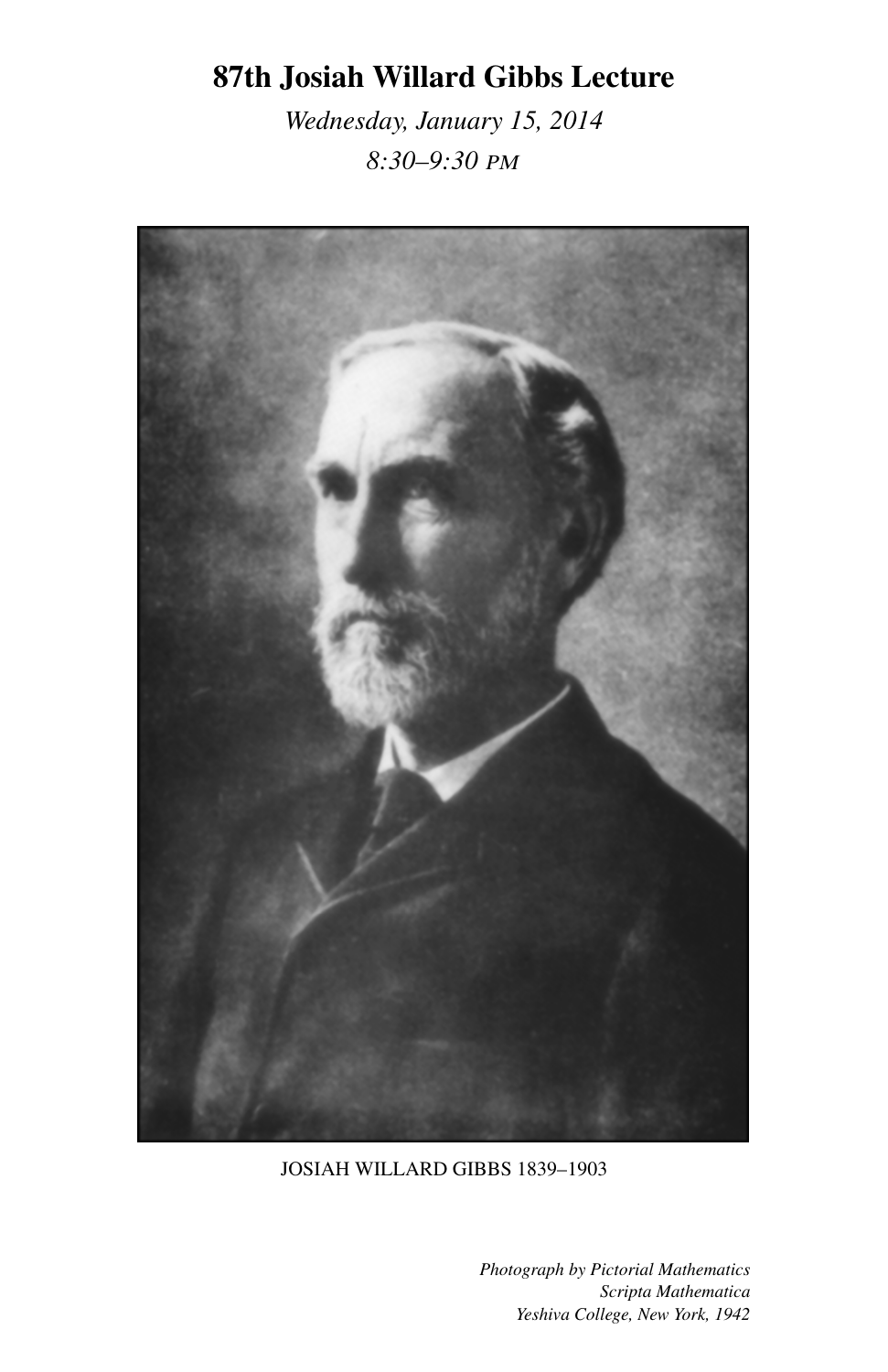## 87th Josiah Willard Gibbs Lecture

*Wednesday, January 15, 2014 8:30–9:30* PM



JOSIAH WILLARD GIBBS 1839–1903

*Photograph by Pictorial Mathematics Scripta Mathematica Yeshiva College, New York, 1942*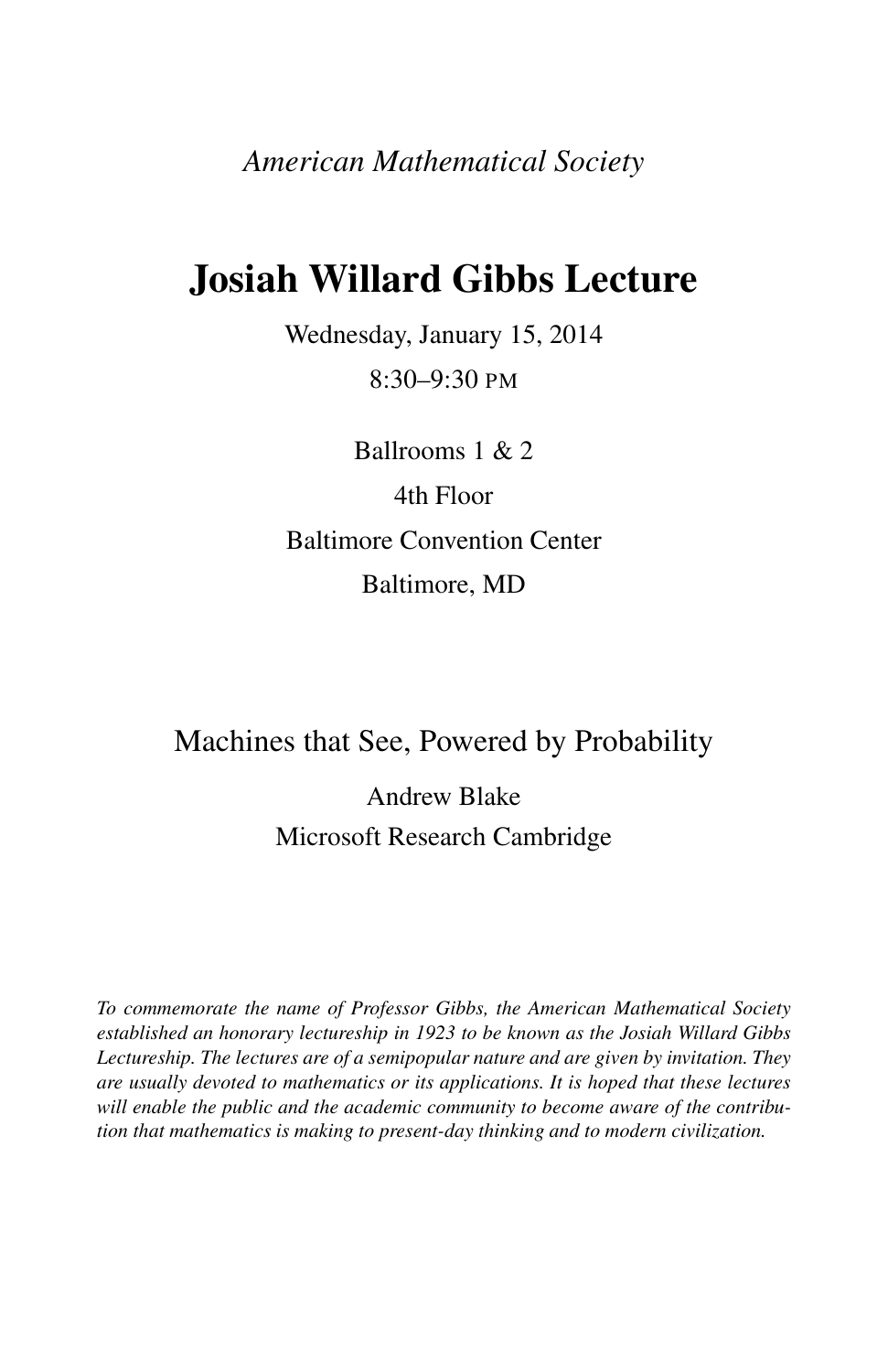*American Mathematical Society*

# Josiah Willard Gibbs Lecture

Wednesday, January 15, 2014 8:30–9:30 PM

Ballrooms 1 & 2 4th Floor Baltimore Convention Center Baltimore, MD

### Machines that See, Powered by Probability

Andrew Blake Microsoft Research Cambridge

*To commemorate the name of Professor Gibbs, the American Mathematical Society established an honorary lectureship in 1923 to be known as the Josiah Willard Gibbs Lectureship. The lectures are of a semipopular nature and are given by invitation. They are usually devoted to mathematics or its applications. It is hoped that these lectures will enable the public and the academic community to become aware of the contribution that mathematics is making to present-day thinking and to modern civilization.*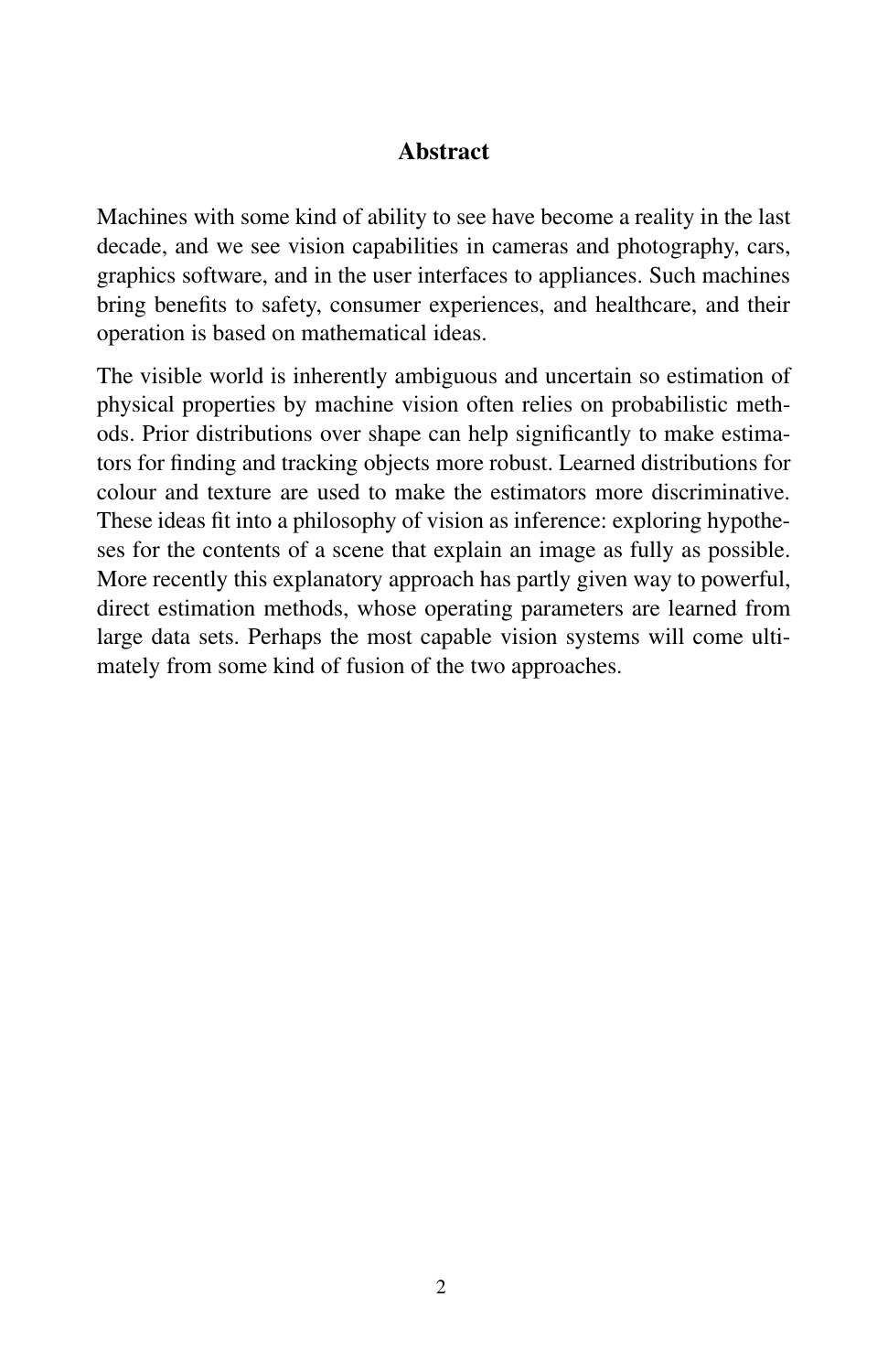#### Abstract

Machines with some kind of ability to see have become a reality in the last decade, and we see vision capabilities in cameras and photography, cars, graphics software, and in the user interfaces to appliances. Such machines bring benefits to safety, consumer experiences, and healthcare, and their operation is based on mathematical ideas.

The visible world is inherently ambiguous and uncertain so estimation of physical properties by machine vision often relies on probabilistic methods. Prior distributions over shape can help significantly to make estimators for finding and tracking objects more robust. Learned distributions for colour and texture are used to make the estimators more discriminative. These ideas fit into a philosophy of vision as inference: exploring hypotheses for the contents of a scene that explain an image as fully as possible. More recently this explanatory approach has partly given way to powerful, direct estimation methods, whose operating parameters are learned from large data sets. Perhaps the most capable vision systems will come ultimately from some kind of fusion of the two approaches.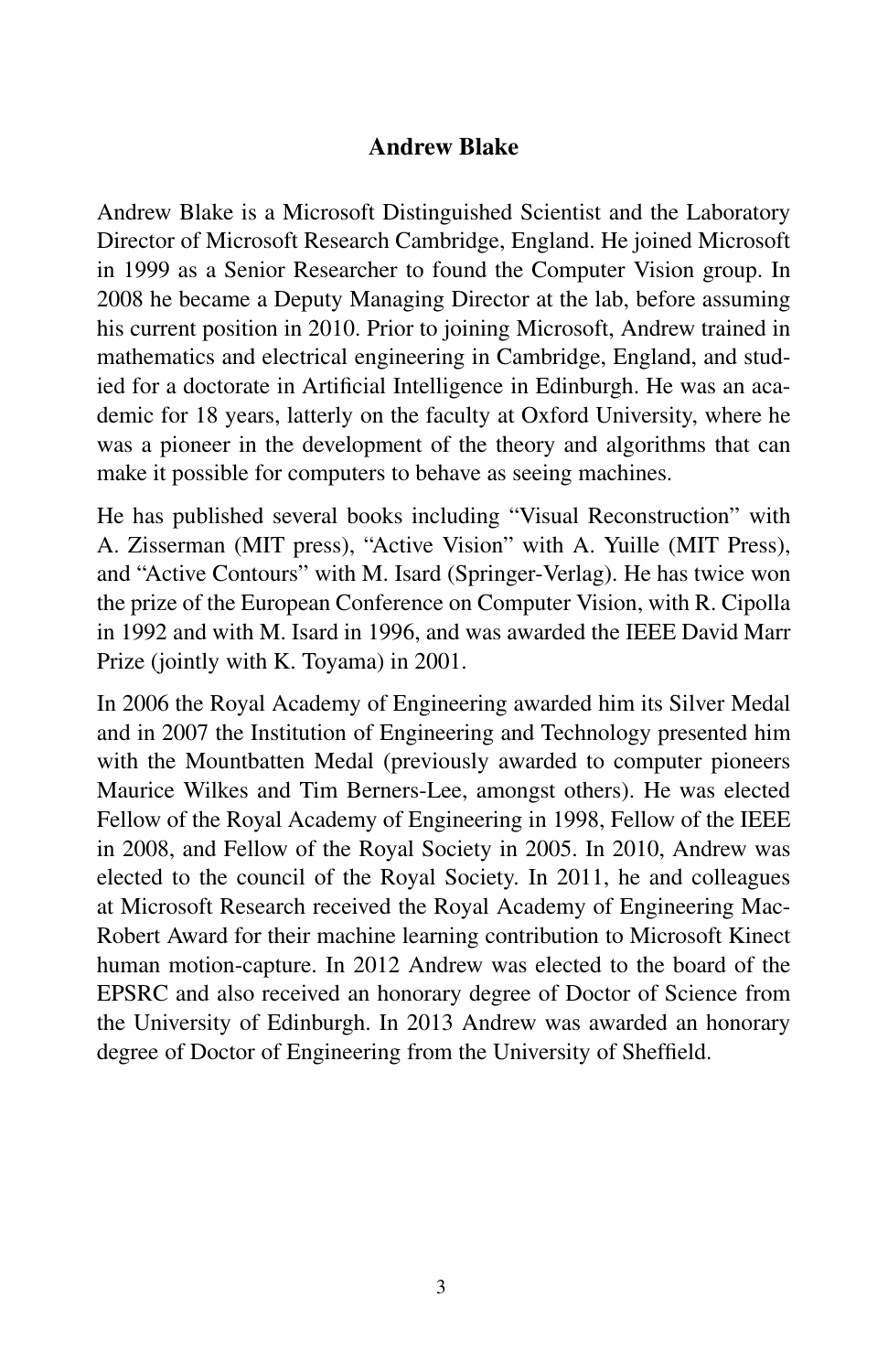#### Andrew Blake

Andrew Blake is a Microsoft Distinguished Scientist and the Laboratory Director of Microsoft Research Cambridge, England. He joined Microsoft in 1999 as a Senior Researcher to found the Computer Vision group. In 2008 he became a Deputy Managing Director at the lab, before assuming his current position in 2010. Prior to joining Microsoft, Andrew trained in mathematics and electrical engineering in Cambridge, England, and studied for a doctorate in Artificial Intelligence in Edinburgh. He was an academic for 18 years, latterly on the faculty at Oxford University, where he was a pioneer in the development of the theory and algorithms that can make it possible for computers to behave as seeing machines.

He has published several books including "Visual Reconstruction" with A. Zisserman (MIT press), "Active Vision" with A. Yuille (MIT Press), and "Active Contours" with M. Isard (Springer-Verlag). He has twice won the prize of the European Conference on Computer Vision, with R. Cipolla in 1992 and with M. Isard in 1996, and was awarded the IEEE David Marr Prize (jointly with K. Toyama) in 2001.

In 2006 the Royal Academy of Engineering awarded him its Silver Medal and in 2007 the Institution of Engineering and Technology presented him with the Mountbatten Medal (previously awarded to computer pioneers Maurice Wilkes and Tim Berners-Lee, amongst others). He was elected Fellow of the Royal Academy of Engineering in 1998, Fellow of the IEEE in 2008, and Fellow of the Royal Society in 2005. In 2010, Andrew was elected to the council of the Royal Society. In 2011, he and colleagues at Microsoft Research received the Royal Academy of Engineering Mac-Robert Award for their machine learning contribution to Microsoft Kinect human motion-capture. In 2012 Andrew was elected to the board of the EPSRC and also received an honorary degree of Doctor of Science from the University of Edinburgh. In 2013 Andrew was awarded an honorary degree of Doctor of Engineering from the University of Sheffield.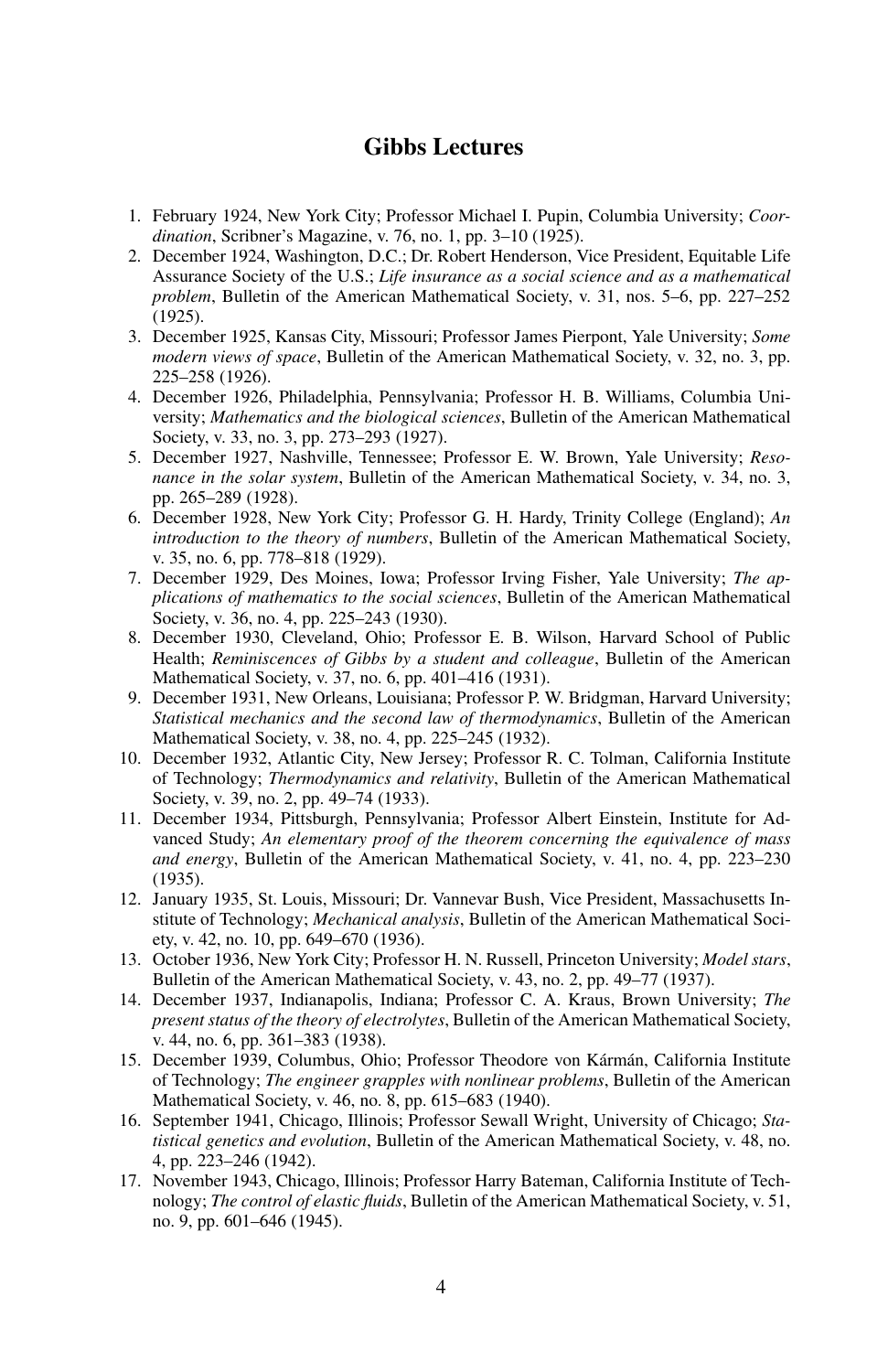#### Gibbs Lectures

- 1. February 1924, New York City; Professor Michael I. Pupin, Columbia University; *Coordination*, Scribner's Magazine, v. 76, no. 1, pp. 3–10 (1925).
- 2. December 1924, Washington, D.C.; Dr. Robert Henderson, Vice President, Equitable Life Assurance Society of the U.S.; *Life insurance as a social science and as a mathematical problem*, Bulletin of the American Mathematical Society, v. 31, nos. 5–6, pp. 227–252 (1925).
- 3. December 1925, Kansas City, Missouri; Professor James Pierpont, Yale University; *Some modern views of space*, Bulletin of the American Mathematical Society, v. 32, no. 3, pp. 225–258 (1926).
- 4. December 1926, Philadelphia, Pennsylvania; Professor H. B. Williams, Columbia University; *Mathematics and the biological sciences*, Bulletin of the American Mathematical Society, v. 33, no. 3, pp. 273–293 (1927).
- 5. December 1927, Nashville, Tennessee; Professor E. W. Brown, Yale University; *Resonance in the solar system*, Bulletin of the American Mathematical Society, v. 34, no. 3, pp. 265–289 (1928).
- 6. December 1928, New York City; Professor G. H. Hardy, Trinity College (England); *An introduction to the theory of numbers*, Bulletin of the American Mathematical Society, v. 35, no. 6, pp. 778–818 (1929).
- 7. December 1929, Des Moines, Iowa; Professor Irving Fisher, Yale University; *The applications of mathematics to the social sciences*, Bulletin of the American Mathematical Society, v. 36, no. 4, pp. 225–243 (1930).
- 8. December 1930, Cleveland, Ohio; Professor E. B. Wilson, Harvard School of Public Health; *Reminiscences of Gibbs by a student and colleague*, Bulletin of the American Mathematical Society, v. 37, no. 6, pp. 401–416 (1931).
- 9. December 1931, New Orleans, Louisiana; Professor P. W. Bridgman, Harvard University; *Statistical mechanics and the second law of thermodynamics*, Bulletin of the American Mathematical Society, v. 38, no. 4, pp. 225–245 (1932).
- 10. December 1932, Atlantic City, New Jersey; Professor R. C. Tolman, California Institute of Technology; *Thermodynamics and relativity*, Bulletin of the American Mathematical Society, v. 39, no. 2, pp. 49–74 (1933).
- 11. December 1934, Pittsburgh, Pennsylvania; Professor Albert Einstein, Institute for Advanced Study; *An elementary proof of the theorem concerning the equivalence of mass and energy*, Bulletin of the American Mathematical Society, v. 41, no. 4, pp. 223–230 (1935).
- 12. January 1935, St. Louis, Missouri; Dr. Vannevar Bush, Vice President, Massachusetts Institute of Technology; *Mechanical analysis*, Bulletin of the American Mathematical Society, v. 42, no. 10, pp. 649–670 (1936).
- 13. October 1936, New York City; Professor H. N. Russell, Princeton University; *Model stars*, Bulletin of the American Mathematical Society, v. 43, no. 2, pp. 49–77 (1937).
- 14. December 1937, Indianapolis, Indiana; Professor C. A. Kraus, Brown University; *The present status of the theory of electrolytes*, Bulletin of the American Mathematical Society, v. 44, no. 6, pp. 361–383 (1938).
- 15. December 1939, Columbus, Ohio; Professor Theodore von Kármán, California Institute of Technology; *The engineer grapples with nonlinear problems*, Bulletin of the American Mathematical Society, v. 46, no. 8, pp. 615–683 (1940).
- 16. September 1941, Chicago, Illinois; Professor Sewall Wright, University of Chicago; *Statistical genetics and evolution*, Bulletin of the American Mathematical Society, v. 48, no. 4, pp. 223–246 (1942).
- 17. November 1943, Chicago, Illinois; Professor Harry Bateman, California Institute of Technology; *The control of elastic fluids*, Bulletin of the American Mathematical Society, v. 51, no. 9, pp. 601–646 (1945).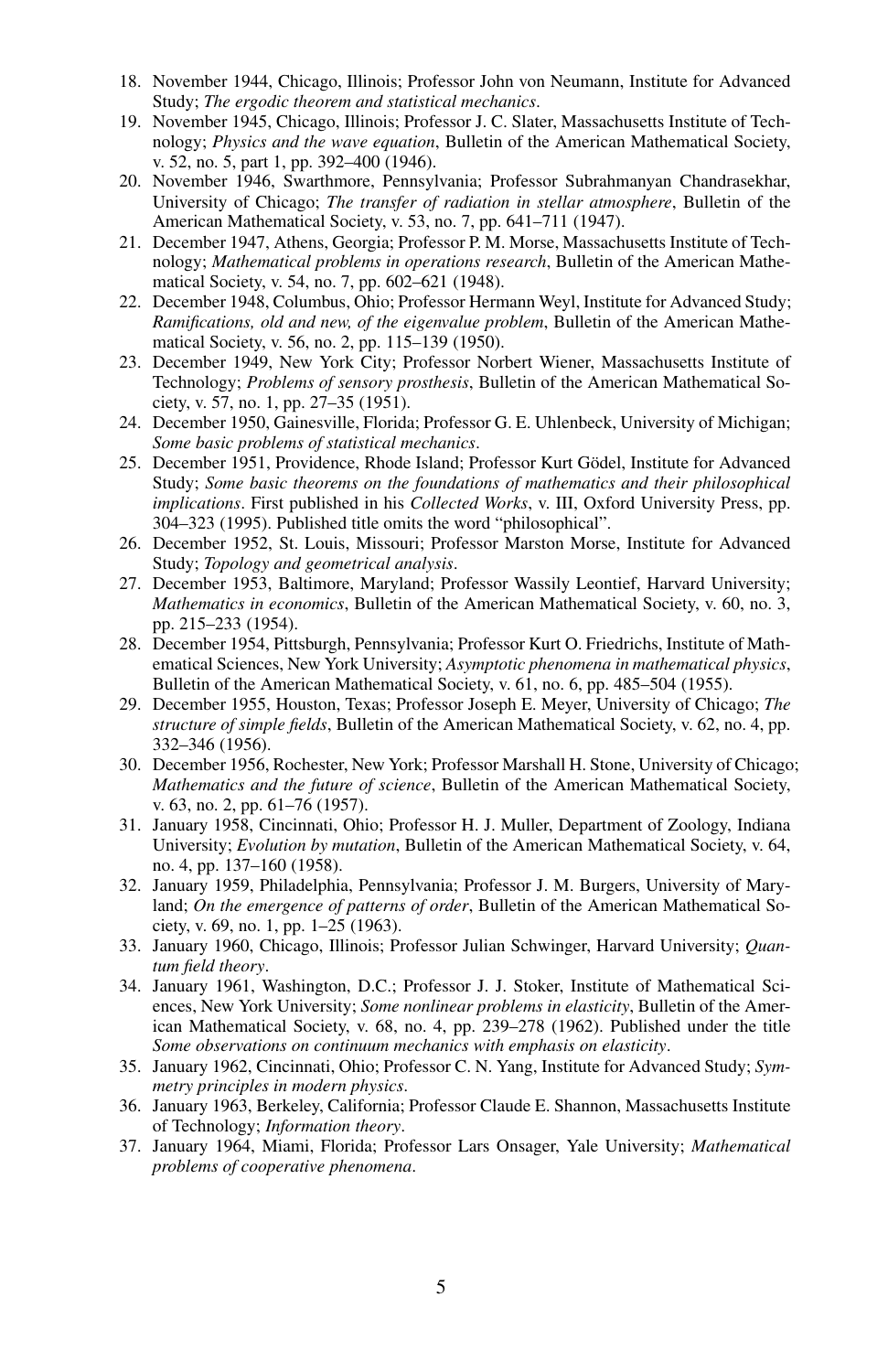- 18. November 1944, Chicago, Illinois; Professor John von Neumann, Institute for Advanced Study; *The ergodic theorem and statistical mechanics*.
- 19. November 1945, Chicago, Illinois; Professor J. C. Slater, Massachusetts Institute of Technology; *Physics and the wave equation*, Bulletin of the American Mathematical Society, v. 52, no. 5, part 1, pp. 392–400 (1946).
- 20. November 1946, Swarthmore, Pennsylvania; Professor Subrahmanyan Chandrasekhar, University of Chicago; *The transfer of radiation in stellar atmosphere*, Bulletin of the American Mathematical Society, v. 53, no. 7, pp. 641–711 (1947).
- 21. December 1947, Athens, Georgia; Professor P. M. Morse, Massachusetts Institute of Technology; *Mathematical problems in operations research*, Bulletin of the American Mathematical Society, v. 54, no. 7, pp. 602–621 (1948).
- 22. December 1948, Columbus, Ohio; Professor Hermann Weyl, Institute for Advanced Study; *Ramifications, old and new, of the eigenvalue problem*, Bulletin of the American Mathematical Society, v. 56, no. 2, pp. 115–139 (1950).
- 23. December 1949, New York City; Professor Norbert Wiener, Massachusetts Institute of Technology; *Problems of sensory prosthesis*, Bulletin of the American Mathematical Society, v. 57, no. 1, pp. 27–35 (1951).
- 24. December 1950, Gainesville, Florida; Professor G. E. Uhlenbeck, University of Michigan; *Some basic problems of statistical mechanics*.
- 25. December 1951, Providence, Rhode Island; Professor Kurt Gödel, Institute for Advanced Study; *Some basic theorems on the foundations of mathematics and their philosophical implications*. First published in his *Collected Works*, v. III, Oxford University Press, pp. 304–323 (1995). Published title omits the word "philosophical".
- 26. December 1952, St. Louis, Missouri; Professor Marston Morse, Institute for Advanced Study; *Topology and geometrical analysis*.
- 27. December 1953, Baltimore, Maryland; Professor Wassily Leontief, Harvard University; *Mathematics in economics*, Bulletin of the American Mathematical Society, v. 60, no. 3, pp. 215–233 (1954).
- 28. December 1954, Pittsburgh, Pennsylvania; Professor Kurt O. Friedrichs, Institute of Mathematical Sciences, New York University; *Asymptotic phenomena in mathematical physics*, Bulletin of the American Mathematical Society, v. 61, no. 6, pp. 485–504 (1955).
- 29. December 1955, Houston, Texas; Professor Joseph E. Meyer, University of Chicago; *The structure of simple fields*, Bulletin of the American Mathematical Society, v. 62, no. 4, pp. 332–346 (1956).
- 30. December 1956, Rochester, New York; Professor Marshall H. Stone, University of Chicago; *Mathematics and the future of science*, Bulletin of the American Mathematical Society, v. 63, no. 2, pp. 61–76 (1957).
- 31. January 1958, Cincinnati, Ohio; Professor H. J. Muller, Department of Zoology, Indiana University; *Evolution by mutation*, Bulletin of the American Mathematical Society, v. 64, no. 4, pp. 137–160 (1958).
- 32. January 1959, Philadelphia, Pennsylvania; Professor J. M. Burgers, University of Maryland; *On the emergence of patterns of order*, Bulletin of the American Mathematical Society, v. 69, no. 1, pp. 1–25 (1963).
- 33. January 1960, Chicago, Illinois; Professor Julian Schwinger, Harvard University; *Quantum field theory*.
- 34. January 1961, Washington, D.C.; Professor J. J. Stoker, Institute of Mathematical Sciences, New York University; *Some nonlinear problems in elasticity*, Bulletin of the American Mathematical Society, v. 68, no. 4, pp. 239–278 (1962). Published under the title *Some observations on continuum mechanics with emphasis on elasticity*.
- 35. January 1962, Cincinnati, Ohio; Professor C. N. Yang, Institute for Advanced Study; *Symmetry principles in modern physics*.
- 36. January 1963, Berkeley, California; Professor Claude E. Shannon, Massachusetts Institute of Technology; *Information theory*.
- 37. January 1964, Miami, Florida; Professor Lars Onsager, Yale University; *Mathematical problems of cooperative phenomena*.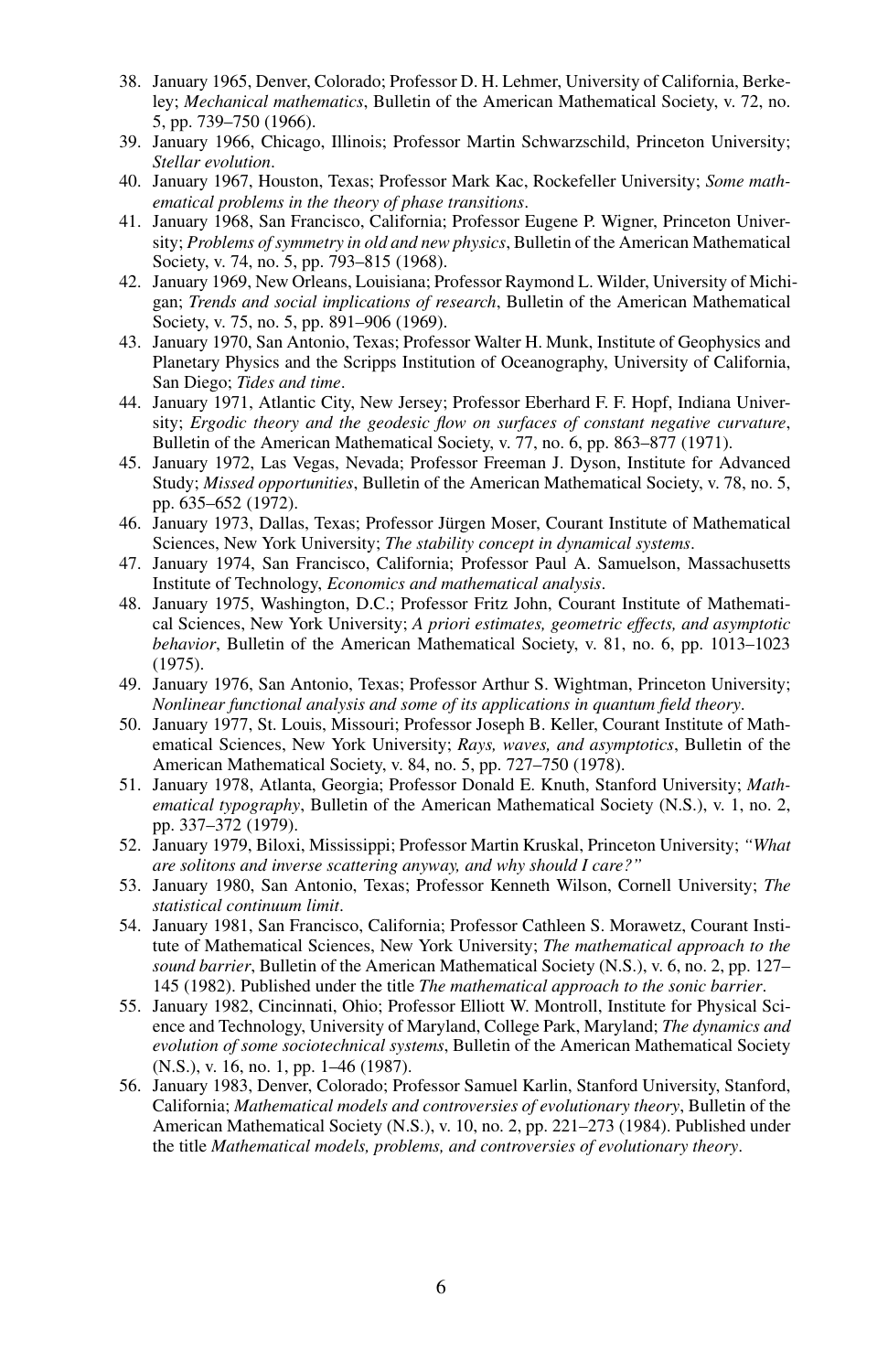- 38. January 1965, Denver, Colorado; Professor D. H. Lehmer, University of California, Berkeley; *Mechanical mathematics*, Bulletin of the American Mathematical Society, v. 72, no. 5, pp. 739–750 (1966).
- 39. January 1966, Chicago, Illinois; Professor Martin Schwarzschild, Princeton University; *Stellar evolution*.
- 40. January 1967, Houston, Texas; Professor Mark Kac, Rockefeller University; *Some mathematical problems in the theory of phase transitions*.
- 41. January 1968, San Francisco, California; Professor Eugene P. Wigner, Princeton University; *Problems of symmetry in old and new physics*, Bulletin of the American Mathematical Society, v. 74, no. 5, pp. 793-815 (1968).
- 42. January 1969, New Orleans, Louisiana; Professor Raymond L. Wilder, University of Michigan; *Trends and social implications of research*, Bulletin of the American Mathematical Society, v. 75, no. 5, pp. 891–906 (1969).
- 43. January 1970, San Antonio, Texas; Professor Walter H. Munk, Institute of Geophysics and Planetary Physics and the Scripps Institution of Oceanography, University of California, San Diego; *Tides and time*.
- 44. January 1971, Atlantic City, New Jersey; Professor Eberhard F. F. Hopf, Indiana University; *Ergodic theory and the geodesic flow on surfaces of constant negative curvature*, Bulletin of the American Mathematical Society, v. 77, no. 6, pp. 863–877 (1971).
- 45. January 1972, Las Vegas, Nevada; Professor Freeman J. Dyson, Institute for Advanced Study; *Missed opportunities*, Bulletin of the American Mathematical Society, v. 78, no. 5, pp. 635–652 (1972).
- 46. January 1973, Dallas, Texas; Professor Jurgen Moser, Courant Institute of Mathematical ¨ Sciences, New York University; *The stability concept in dynamical systems*.
- 47. January 1974, San Francisco, California; Professor Paul A. Samuelson, Massachusetts Institute of Technology, *Economics and mathematical analysis*.
- 48. January 1975, Washington, D.C.; Professor Fritz John, Courant Institute of Mathematical Sciences, New York University; *A priori estimates, geometric effects, and asymptotic behavior*, Bulletin of the American Mathematical Society, v. 81, no. 6, pp. 1013–1023 (1975).
- 49. January 1976, San Antonio, Texas; Professor Arthur S. Wightman, Princeton University; *Nonlinear functional analysis and some of its applications in quantum field theory*.
- 50. January 1977, St. Louis, Missouri; Professor Joseph B. Keller, Courant Institute of Mathematical Sciences, New York University; *Rays, waves, and asymptotics*, Bulletin of the American Mathematical Society, v. 84, no. 5, pp. 727–750 (1978).
- 51. January 1978, Atlanta, Georgia; Professor Donald E. Knuth, Stanford University; *Mathematical typography*, Bulletin of the American Mathematical Society (N.S.), v. 1, no. 2, pp. 337–372 (1979).
- 52. January 1979, Biloxi, Mississippi; Professor Martin Kruskal, Princeton University; *"What are solitons and inverse scattering anyway, and why should I care?"*
- 53. January 1980, San Antonio, Texas; Professor Kenneth Wilson, Cornell University; *The statistical continuum limit*.
- 54. January 1981, San Francisco, California; Professor Cathleen S. Morawetz, Courant Institute of Mathematical Sciences, New York University; *The mathematical approach to the sound barrier*, Bulletin of the American Mathematical Society (N.S.), v. 6, no. 2, pp. 127– 145 (1982). Published under the title *The mathematical approach to the sonic barrier*.
- 55. January 1982, Cincinnati, Ohio; Professor Elliott W. Montroll, Institute for Physical Science and Technology, University of Maryland, College Park, Maryland; *The dynamics and evolution of some sociotechnical systems*, Bulletin of the American Mathematical Society (N.S.), v. 16, no. 1, pp. 1–46 (1987).
- 56. January 1983, Denver, Colorado; Professor Samuel Karlin, Stanford University, Stanford, California; *Mathematical models and controversies of evolutionary theory*, Bulletin of the American Mathematical Society (N.S.), v. 10, no. 2, pp. 221–273 (1984). Published under the title *Mathematical models, problems, and controversies of evolutionary theory*.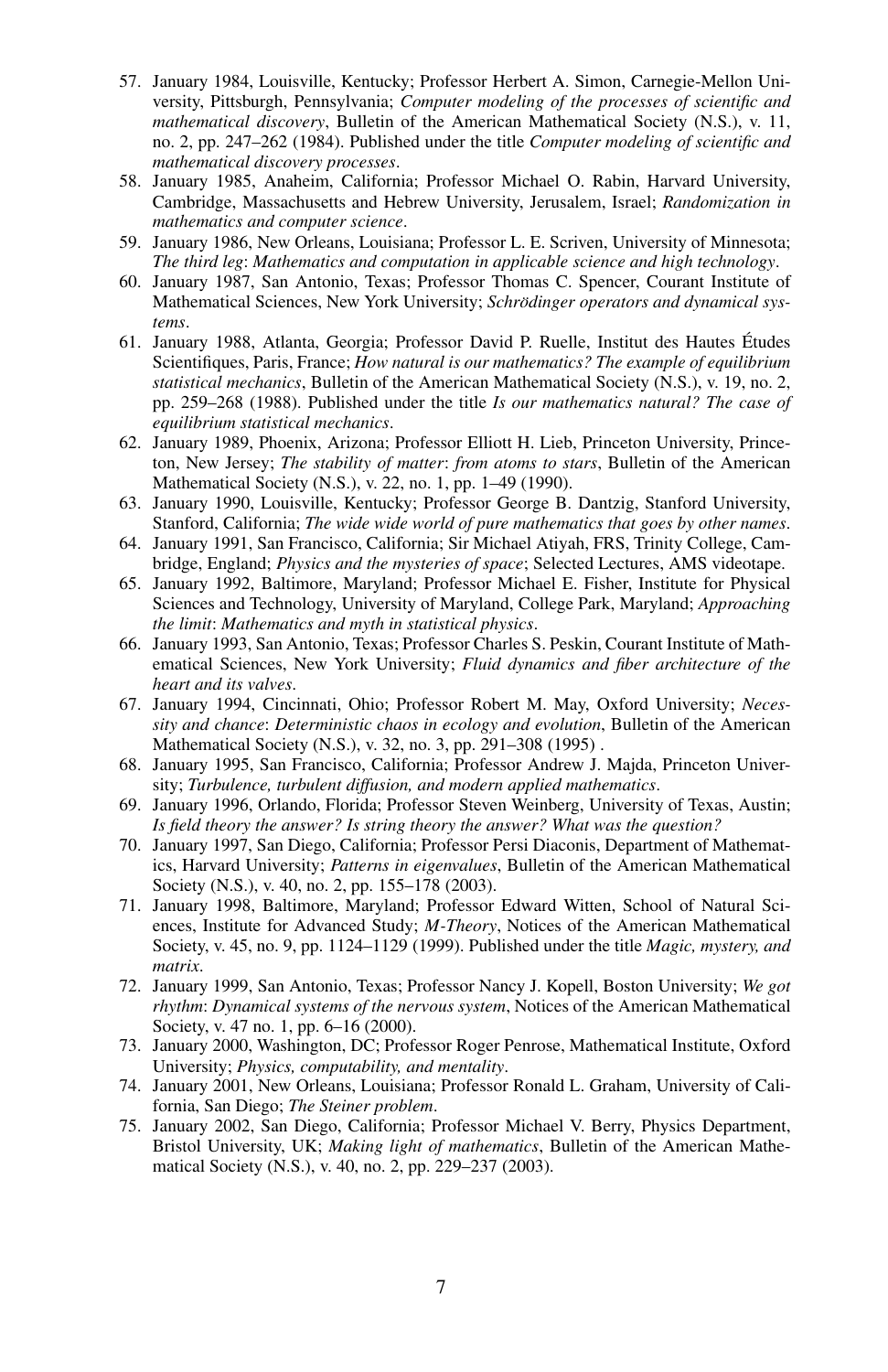- 57. January 1984, Louisville, Kentucky; Professor Herbert A. Simon, Carnegie-Mellon University, Pittsburgh, Pennsylvania; *Computer modeling of the processes of scientific and mathematical discovery*, Bulletin of the American Mathematical Society (N.S.), v. 11, no. 2, pp. 247–262 (1984). Published under the title *Computer modeling of scientific and mathematical discovery processes*.
- 58. January 1985, Anaheim, California; Professor Michael O. Rabin, Harvard University, Cambridge, Massachusetts and Hebrew University, Jerusalem, Israel; *Randomization in mathematics and computer science*.
- 59. January 1986, New Orleans, Louisiana; Professor L. E. Scriven, University of Minnesota; *The third leg*: *Mathematics and computation in applicable science and high technology*.
- 60. January 1987, San Antonio, Texas; Professor Thomas C. Spencer, Courant Institute of Mathematical Sciences, New York University; *Schrodinger operators and dynamical sys- ¨ tems*.
- 61. January 1988, Atlanta, Georgia; Professor David P. Ruelle, Institut des Hautes Etudes ´ Scientifiques, Paris, France; *How natural is our mathematics? The example of equilibrium statistical mechanics*, Bulletin of the American Mathematical Society (N.S.), v. 19, no. 2, pp. 259–268 (1988). Published under the title *Is our mathematics natural? The case of equilibrium statistical mechanics*.
- 62. January 1989, Phoenix, Arizona; Professor Elliott H. Lieb, Princeton University, Princeton, New Jersey; *The stability of matter*: *from atoms to stars*, Bulletin of the American Mathematical Society (N.S.), v. 22, no. 1, pp. 1–49 (1990).
- 63. January 1990, Louisville, Kentucky; Professor George B. Dantzig, Stanford University, Stanford, California; *The wide wide world of pure mathematics that goes by other names*.
- 64. January 1991, San Francisco, California; Sir Michael Atiyah, FRS, Trinity College, Cambridge, England; *Physics and the mysteries of space*; Selected Lectures, AMS videotape.
- 65. January 1992, Baltimore, Maryland; Professor Michael E. Fisher, Institute for Physical Sciences and Technology, University of Maryland, College Park, Maryland; *Approaching the limit*: *Mathematics and myth in statistical physics*.
- 66. January 1993, San Antonio, Texas; Professor Charles S. Peskin, Courant Institute of Mathematical Sciences, New York University; *Fluid dynamics and fiber architecture of the heart and its valves*.
- 67. January 1994, Cincinnati, Ohio; Professor Robert M. May, Oxford University; *Necessity and chance*: *Deterministic chaos in ecology and evolution*, Bulletin of the American Mathematical Society (N.S.), v. 32, no. 3, pp. 291–308 (1995) .
- 68. January 1995, San Francisco, California; Professor Andrew J. Majda, Princeton University; *Turbulence, turbulent diffusion, and modern applied mathematics*.
- 69. January 1996, Orlando, Florida; Professor Steven Weinberg, University of Texas, Austin; *Is field theory the answer? Is string theory the answer? What was the question?*
- 70. January 1997, San Diego, California; Professor Persi Diaconis, Department of Mathematics, Harvard University; *Patterns in eigenvalues*, Bulletin of the American Mathematical Society (N.S.), v. 40, no. 2, pp. 155–178 (2003).
- 71. January 1998, Baltimore, Maryland; Professor Edward Witten, School of Natural Sciences, Institute for Advanced Study; *M-Theory*, Notices of the American Mathematical Society, v. 45, no. 9, pp. 1124–1129 (1999). Published under the title *Magic, mystery, and matrix*.
- 72. January 1999, San Antonio, Texas; Professor Nancy J. Kopell, Boston University; *We got rhythm*: *Dynamical systems of the nervous system*, Notices of the American Mathematical Society, v. 47 no. 1, pp. 6–16 (2000).
- 73. January 2000, Washington, DC; Professor Roger Penrose, Mathematical Institute, Oxford University; *Physics, computability, and mentality*.
- 74. January 2001, New Orleans, Louisiana; Professor Ronald L. Graham, University of California, San Diego; *The Steiner problem*.
- 75. January 2002, San Diego, California; Professor Michael V. Berry, Physics Department, Bristol University, UK; *Making light of mathematics*, Bulletin of the American Mathematical Society (N.S.), v. 40, no. 2, pp. 229–237 (2003).